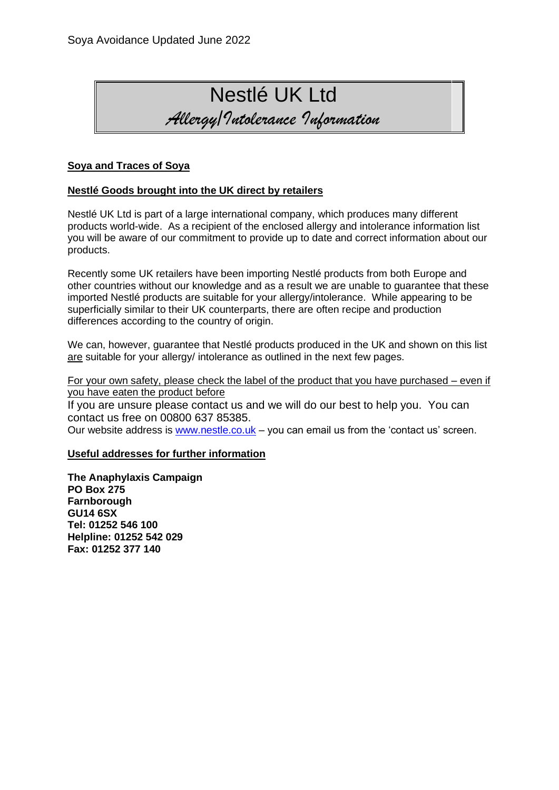

## **Soya and Traces of Soya**

## **Nestlé Goods brought into the UK direct by retailers**

Nestlé UK Ltd is part of a large international company, which produces many different products world-wide. As a recipient of the enclosed allergy and intolerance information list you will be aware of our commitment to provide up to date and correct information about our products.

Recently some UK retailers have been importing Nestlé products from both Europe and other countries without our knowledge and as a result we are unable to guarantee that these imported Nestlé products are suitable for your allergy/intolerance. While appearing to be superficially similar to their UK counterparts, there are often recipe and production differences according to the country of origin.

We can, however, quarantee that Nestlé products produced in the UK and shown on this list are suitable for your allergy/ intolerance as outlined in the next few pages.

For your own safety, please check the label of the product that you have purchased – even if you have eaten the product before

If you are unsure please contact us and we will do our best to help you. You can contact us free on 00800 637 85385.

Our website address is [www.nestle.co.uk](http://www.nestle.co.uk/) – you can email us from the 'contact us' screen.

#### **Useful addresses for further information**

**The Anaphylaxis Campaign PO Box 275 Farnborough GU14 6SX Tel: 01252 546 100 Helpline: 01252 542 029 Fax: 01252 377 140**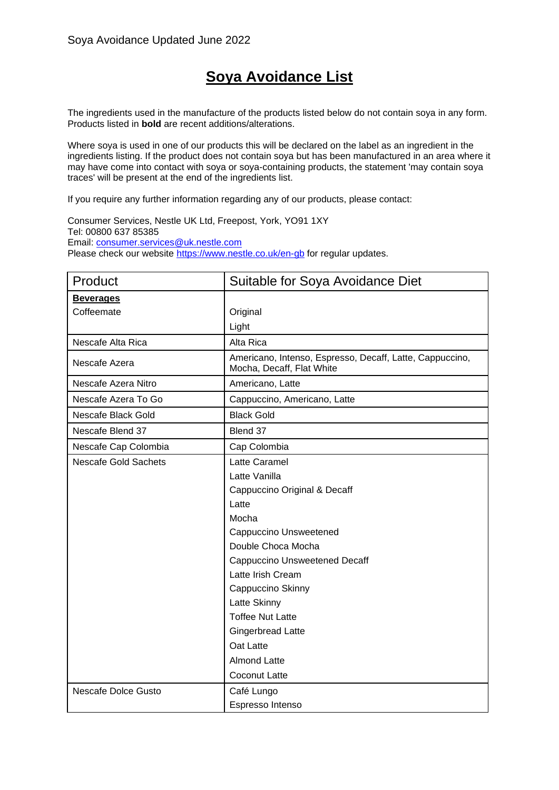# **Soya Avoidance List**

The ingredients used in the manufacture of the products listed below do not contain soya in any form. Products listed in **bold** are recent additions/alterations.

Where soya is used in one of our products this will be declared on the label as an ingredient in the ingredients listing. If the product does not contain soya but has been manufactured in an area where it may have come into contact with soya or soya-containing products, the statement 'may contain soya traces' will be present at the end of the ingredients list.

If you require any further information regarding any of our products, please contact:

Consumer Services, Nestle UK Ltd, Freepost, York, YO91 1XY Tel: 00800 637 85385 Email: [consumer.services@uk.nestle.com](mailto:consumer.services@uk.nestle.com) Please check our website<https://www.nestle.co.uk/en-gb> for regular updates.

| Product                     | Suitable for Soya Avoidance Diet                                                      |
|-----------------------------|---------------------------------------------------------------------------------------|
| <b>Beverages</b>            |                                                                                       |
| Coffeemate                  | Original                                                                              |
|                             | Light                                                                                 |
| Nescafe Alta Rica           | Alta Rica                                                                             |
| Nescafe Azera               | Americano, Intenso, Espresso, Decaff, Latte, Cappuccino,<br>Mocha, Decaff, Flat White |
| Nescafe Azera Nitro         | Americano, Latte                                                                      |
| Nescafe Azera To Go         | Cappuccino, Americano, Latte                                                          |
| Nescafe Black Gold          | <b>Black Gold</b>                                                                     |
| Nescafe Blend 37            | Blend 37                                                                              |
| Nescafe Cap Colombia        | Cap Colombia                                                                          |
| <b>Nescafe Gold Sachets</b> | Latte Caramel                                                                         |
|                             | Latte Vanilla                                                                         |
|                             | Cappuccino Original & Decaff                                                          |
|                             | Latte                                                                                 |
|                             | Mocha                                                                                 |
|                             | Cappuccino Unsweetened                                                                |
|                             | Double Choca Mocha                                                                    |
|                             | <b>Cappuccino Unsweetened Decaff</b>                                                  |
|                             | Latte Irish Cream                                                                     |
|                             | Cappuccino Skinny                                                                     |
|                             | Latte Skinny                                                                          |
|                             | <b>Toffee Nut Latte</b>                                                               |
|                             | Gingerbread Latte                                                                     |
|                             | Oat Latte                                                                             |
|                             | <b>Almond Latte</b>                                                                   |
|                             | <b>Coconut Latte</b>                                                                  |
| <b>Nescafe Dolce Gusto</b>  | Café Lungo                                                                            |
|                             | Espresso Intenso                                                                      |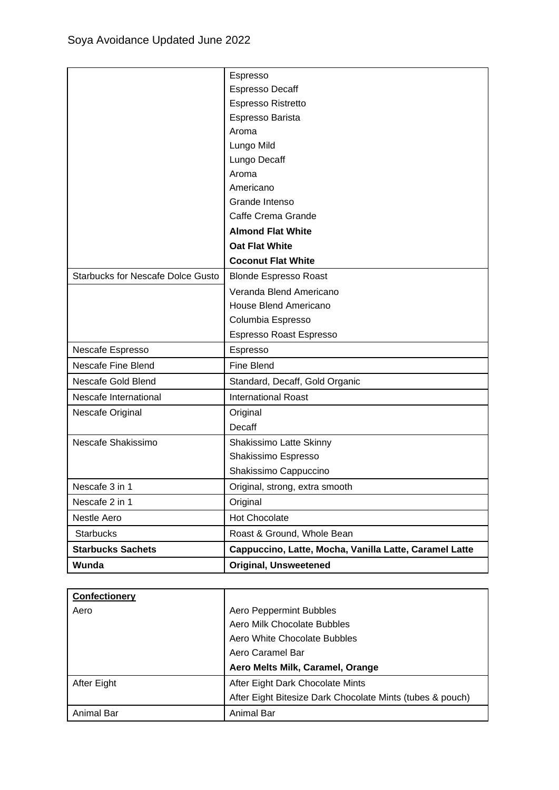|                                          | Espresso                                               |
|------------------------------------------|--------------------------------------------------------|
|                                          | <b>Espresso Decaff</b>                                 |
|                                          | Espresso Ristretto                                     |
|                                          | Espresso Barista                                       |
|                                          | Aroma                                                  |
|                                          | Lungo Mild                                             |
|                                          | Lungo Decaff                                           |
|                                          | Aroma                                                  |
|                                          | Americano                                              |
|                                          | Grande Intenso                                         |
|                                          | Caffe Crema Grande                                     |
|                                          | <b>Almond Flat White</b>                               |
|                                          | <b>Oat Flat White</b>                                  |
|                                          | <b>Coconut Flat White</b>                              |
| <b>Starbucks for Nescafe Dolce Gusto</b> | <b>Blonde Espresso Roast</b>                           |
|                                          | Veranda Blend Americano                                |
|                                          | House Blend Americano                                  |
|                                          | Columbia Espresso                                      |
|                                          | Espresso Roast Espresso                                |
| Nescafe Espresso                         | Espresso                                               |
| <b>Nescafe Fine Blend</b>                | <b>Fine Blend</b>                                      |
| Nescafe Gold Blend                       | Standard, Decaff, Gold Organic                         |
| Nescafe International                    | <b>International Roast</b>                             |
| Nescafe Original                         | Original                                               |
|                                          | Decaff                                                 |
| Nescafe Shakissimo                       | Shakissimo Latte Skinny                                |
|                                          | Shakissimo Espresso                                    |
|                                          | Shakissimo Cappuccino                                  |
| Nescafe 3 in 1                           | Original, strong, extra smooth                         |
| Nescafe 2 in 1                           | Original                                               |
| Nestle Aero                              | Hot Chocolate                                          |
| <b>Starbucks</b>                         | Roast & Ground, Whole Bean                             |
| <b>Starbucks Sachets</b>                 | Cappuccino, Latte, Mocha, Vanilla Latte, Caramel Latte |
| Wunda                                    | <b>Original, Unsweetened</b>                           |

| Confectionery |                                                           |
|---------------|-----------------------------------------------------------|
| Aero          | Aero Peppermint Bubbles                                   |
|               | Aero Milk Chocolate Bubbles                               |
|               | Aero White Chocolate Bubbles                              |
|               | Aero Caramel Bar                                          |
|               | Aero Melts Milk, Caramel, Orange                          |
| After Eight   | After Eight Dark Chocolate Mints                          |
|               | After Eight Bitesize Dark Chocolate Mints (tubes & pouch) |
| Animal Bar    | Animal Bar                                                |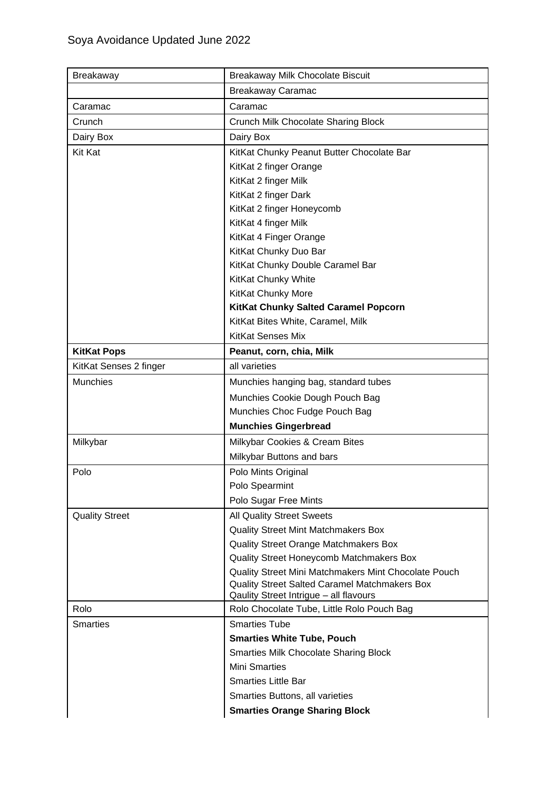| <b>Breakaway</b>       | Breakaway Milk Chocolate Biscuit                                     |
|------------------------|----------------------------------------------------------------------|
|                        | <b>Breakaway Caramac</b>                                             |
| Caramac                | Caramac                                                              |
| Crunch                 | Crunch Milk Chocolate Sharing Block                                  |
| Dairy Box              | Dairy Box                                                            |
| Kit Kat                | KitKat Chunky Peanut Butter Chocolate Bar                            |
|                        | KitKat 2 finger Orange                                               |
|                        | KitKat 2 finger Milk                                                 |
|                        | KitKat 2 finger Dark                                                 |
|                        | KitKat 2 finger Honeycomb                                            |
|                        | KitKat 4 finger Milk                                                 |
|                        | KitKat 4 Finger Orange                                               |
|                        | KitKat Chunky Duo Bar                                                |
|                        | KitKat Chunky Double Caramel Bar                                     |
|                        | KitKat Chunky White                                                  |
|                        | KitKat Chunky More                                                   |
|                        | KitKat Chunky Salted Caramel Popcorn                                 |
|                        | KitKat Bites White, Caramel, Milk                                    |
|                        | <b>KitKat Senses Mix</b>                                             |
| <b>KitKat Pops</b>     | Peanut, corn, chia, Milk                                             |
| KitKat Senses 2 finger | all varieties                                                        |
| <b>Munchies</b>        | Munchies hanging bag, standard tubes                                 |
|                        | Munchies Cookie Dough Pouch Bag                                      |
|                        | Munchies Choc Fudge Pouch Bag                                        |
|                        | <b>Munchies Gingerbread</b>                                          |
| Milkybar               | Milkybar Cookies & Cream Bites                                       |
|                        | Milkybar Buttons and bars                                            |
| Polo                   | Polo Mints Original                                                  |
|                        | Polo Spearmint                                                       |
|                        | Polo Sugar Free Mints                                                |
| <b>Quality Street</b>  | <b>All Quality Street Sweets</b>                                     |
|                        | <b>Quality Street Mint Matchmakers Box</b>                           |
|                        | Quality Street Orange Matchmakers Box                                |
|                        | Quality Street Honeycomb Matchmakers Box                             |
|                        | Quality Street Mini Matchmakers Mint Chocolate Pouch                 |
|                        | Quality Street Salted Caramel Matchmakers Box                        |
|                        | Qaulity Street Intrigue - all flavours                               |
| Rolo                   | Rolo Chocolate Tube, Little Rolo Pouch Bag                           |
| <b>Smarties</b>        | <b>Smarties Tube</b>                                                 |
|                        | <b>Smarties White Tube, Pouch</b>                                    |
|                        | <b>Smarties Milk Chocolate Sharing Block</b><br><b>Mini Smarties</b> |
|                        |                                                                      |
|                        | <b>Smarties Little Bar</b>                                           |
|                        | Smarties Buttons, all varieties                                      |
|                        | <b>Smarties Orange Sharing Block</b>                                 |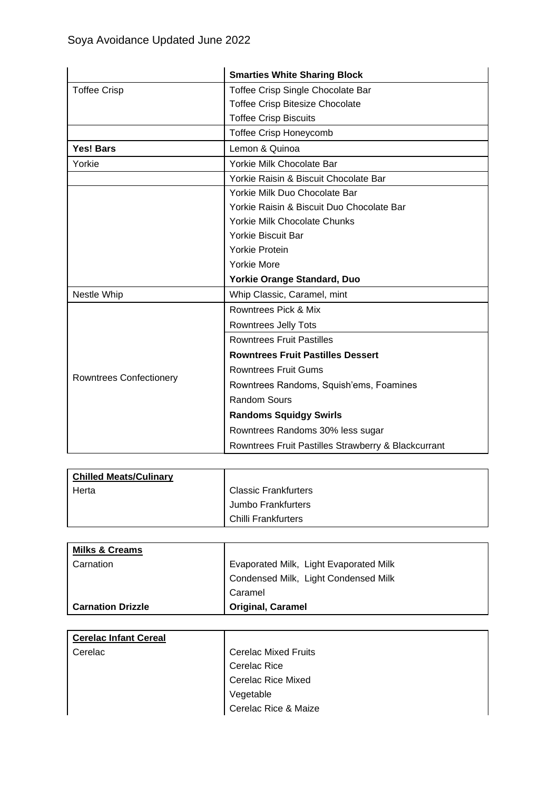|                                | <b>Smarties White Sharing Block</b>                 |
|--------------------------------|-----------------------------------------------------|
| <b>Toffee Crisp</b>            | Toffee Crisp Single Chocolate Bar                   |
|                                | <b>Toffee Crisp Bitesize Chocolate</b>              |
|                                | <b>Toffee Crisp Biscuits</b>                        |
|                                | <b>Toffee Crisp Honeycomb</b>                       |
| <b>Yes! Bars</b>               | Lemon & Quinoa                                      |
| Yorkie                         | Yorkie Milk Chocolate Bar                           |
|                                | Yorkie Raisin & Biscuit Chocolate Bar               |
|                                | Yorkie Milk Duo Chocolate Bar                       |
|                                | Yorkie Raisin & Biscuit Duo Chocolate Bar           |
|                                | Yorkie Milk Chocolate Chunks                        |
|                                | <b>Yorkie Biscuit Bar</b>                           |
|                                | <b>Yorkie Protein</b>                               |
|                                | <b>Yorkie More</b>                                  |
|                                | <b>Yorkie Orange Standard, Duo</b>                  |
| Nestle Whip                    | Whip Classic, Caramel, mint                         |
|                                | Rowntrees Pick & Mix                                |
|                                | <b>Rowntrees Jelly Tots</b>                         |
|                                | <b>Rowntrees Fruit Pastilles</b>                    |
|                                | <b>Rowntrees Fruit Pastilles Dessert</b>            |
|                                | <b>Rowntrees Fruit Gums</b>                         |
| <b>Rowntrees Confectionery</b> | Rowntrees Randoms, Squish'ems, Foamines             |
|                                | <b>Random Sours</b>                                 |
|                                | <b>Randoms Squidgy Swirls</b>                       |
|                                | Rowntrees Randoms 30% less sugar                    |
|                                | Rowntrees Fruit Pastilles Strawberry & Blackcurrant |

| <b>Chilled Meats/Culinary</b> |                             |
|-------------------------------|-----------------------------|
| Herta                         | <b>Classic Frankfurters</b> |
|                               | Jumbo Frankfurters          |
|                               | Chilli Frankfurters         |

| <b>Milks &amp; Creams</b> |                                        |
|---------------------------|----------------------------------------|
| Carnation                 | Evaporated Milk, Light Evaporated Milk |
|                           | Condensed Milk, Light Condensed Milk   |
|                           | Caramel                                |
| <b>Carnation Drizzle</b>  | <b>Original, Caramel</b>               |

| <b>Cerelac Infant Cereal</b> |                             |
|------------------------------|-----------------------------|
| Cerelac                      | <b>Cerelac Mixed Fruits</b> |
|                              | <b>Cerelac Rice</b>         |
|                              | <b>Cerelac Rice Mixed</b>   |
|                              | Vegetable                   |
|                              | Cerelac Rice & Maize        |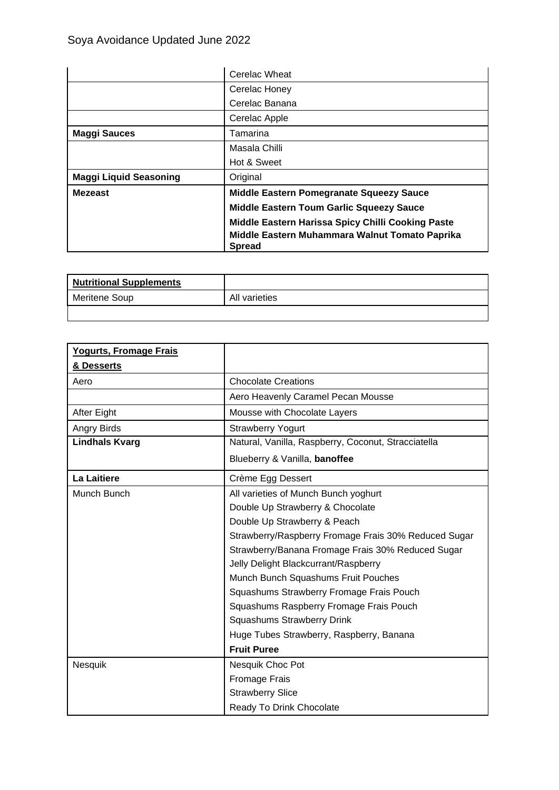|                               | Cerelac Wheat                                                   |
|-------------------------------|-----------------------------------------------------------------|
|                               | Cerelac Honey                                                   |
|                               | Cerelac Banana                                                  |
|                               | Cerelac Apple                                                   |
| <b>Maggi Sauces</b>           | Tamarina                                                        |
|                               | Masala Chilli                                                   |
|                               | Hot & Sweet                                                     |
| <b>Maggi Liquid Seasoning</b> | Original                                                        |
| <b>Mezeast</b>                | Middle Eastern Pomegranate Squeezy Sauce                        |
|                               | <b>Middle Eastern Toum Garlic Squeezy Sauce</b>                 |
|                               | Middle Eastern Harissa Spicy Chilli Cooking Paste               |
|                               | Middle Eastern Muhammara Walnut Tomato Paprika<br><b>Spread</b> |

| <b>Nutritional Supplements</b> |               |
|--------------------------------|---------------|
| Meritene Soup                  | All varieties |
|                                |               |

| Yogurts, Fromage Frais |                                                      |
|------------------------|------------------------------------------------------|
| & Desserts             |                                                      |
| Aero                   | <b>Chocolate Creations</b>                           |
|                        | Aero Heavenly Caramel Pecan Mousse                   |
| After Eight            | Mousse with Chocolate Layers                         |
| Angry Birds            | <b>Strawberry Yogurt</b>                             |
| <b>Lindhals Kvarg</b>  | Natural, Vanilla, Raspberry, Coconut, Stracciatella  |
|                        | Blueberry & Vanilla, banoffee                        |
| La Laitiere            | Crème Egg Dessert                                    |
| Munch Bunch            | All varieties of Munch Bunch yoghurt                 |
|                        | Double Up Strawberry & Chocolate                     |
|                        | Double Up Strawberry & Peach                         |
|                        | Strawberry/Raspberry Fromage Frais 30% Reduced Sugar |
|                        | Strawberry/Banana Fromage Frais 30% Reduced Sugar    |
|                        | Jelly Delight Blackcurrant/Raspberry                 |
|                        | Munch Bunch Squashums Fruit Pouches                  |
|                        | Squashums Strawberry Fromage Frais Pouch             |
|                        | Squashums Raspberry Fromage Frais Pouch              |
|                        | Squashums Strawberry Drink                           |
|                        | Huge Tubes Strawberry, Raspberry, Banana             |
|                        | <b>Fruit Puree</b>                                   |
| Nesquik                | Nesquik Choc Pot                                     |
|                        | Fromage Frais                                        |
|                        | <b>Strawberry Slice</b>                              |
|                        | Ready To Drink Chocolate                             |